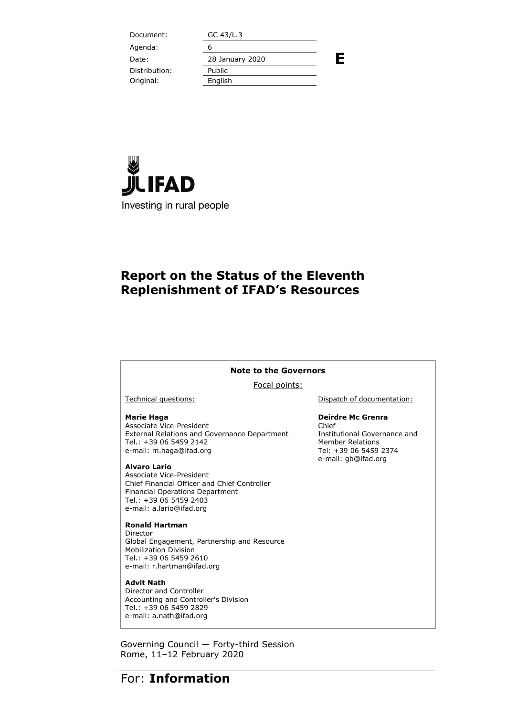| Document:     | GC 43/L.3       |   |
|---------------|-----------------|---|
| Agenda:       | 6               |   |
| Date:         | 28 January 2020 | Ε |
| Distribution: | Public          |   |
| Original:     | English         |   |
|               |                 |   |



### **Report on the Status of the Eleventh Replenishment of IFAD's Resources**

#### **Note to the Governors**

Focal points:

#### **Marie Haga**

Associate Vice-President External Relations and Governance Department Tel.: +39 06 5459 2142 e-mail: m.haga@ifad.org

#### **Alvaro Lario**

Associate Vice-President Chief Financial Officer and Chief Controller Financial Operations Department Tel.: +39 06 5459 2403 e-mail: a.lario@ifad.org

#### **Ronald Hartman**

Director Global Engagement, Partnership and Resource Mobilization Division Tel.: +39 06 5459 2610 e-mail: r.hartman@ifad.org

#### **Advit Nath**

Director and Controller Accounting and Controller's Division Tel.: +39 06 5459 2829 e-mail: a.nath@ifad.org

Governing Council — Forty-third Session Rome, 11–12 February 2020

Technical questions:  $\qquad \qquad$  Dispatch of documentation:

#### **Deirdre Mc Grenra**

Chief Institutional Governance and Member Relations Tel: +39 06 5459 2374 e-mail: gb@ifad.org

### For: **Information**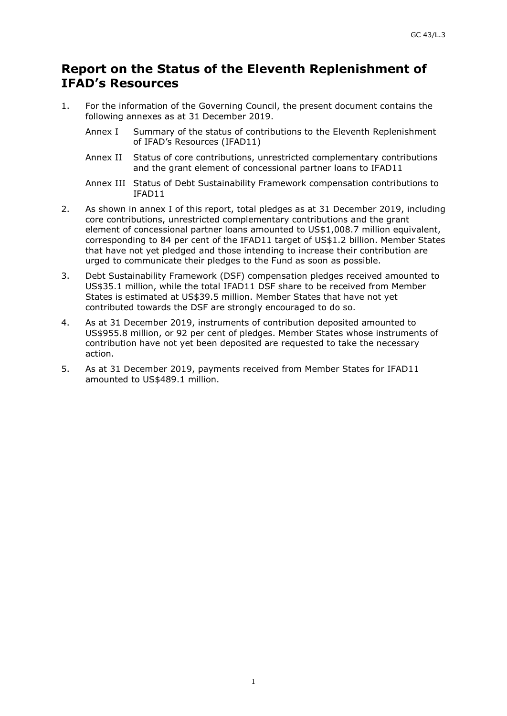### **Report on the Status of the Eleventh Replenishment of IFAD's Resources**

- 1. For the information of the Governing Council, the present document contains the following annexes as at 31 December 2019.
	- Annex I Summary of the status of contributions to the Eleventh Replenishment of IFAD's Resources (IFAD11)
	- Annex II Status of core contributions, unrestricted complementary contributions and the grant element of concessional partner loans to IFAD11
	- Annex III Status of Debt Sustainability Framework compensation contributions to IFAD11
- 2. As shown in annex I of this report, total pledges as at 31 December 2019, including core contributions, unrestricted complementary contributions and the grant element of concessional partner loans amounted to US\$1,008.7 million equivalent, corresponding to 84 per cent of the IFAD11 target of US\$1.2 billion. Member States that have not yet pledged and those intending to increase their contribution are urged to communicate their pledges to the Fund as soon as possible.
- 3. Debt Sustainability Framework (DSF) compensation pledges received amounted to US\$35.1 million, while the total IFAD11 DSF share to be received from Member States is estimated at US\$39.5 million. Member States that have not yet contributed towards the DSF are strongly encouraged to do so.
- 4. As at 31 December 2019, instruments of contribution deposited amounted to US\$955.8 million, or 92 per cent of pledges. Member States whose instruments of contribution have not yet been deposited are requested to take the necessary action.
- 5. As at 31 December 2019, payments received from Member States for IFAD11 amounted to US\$489.1 million.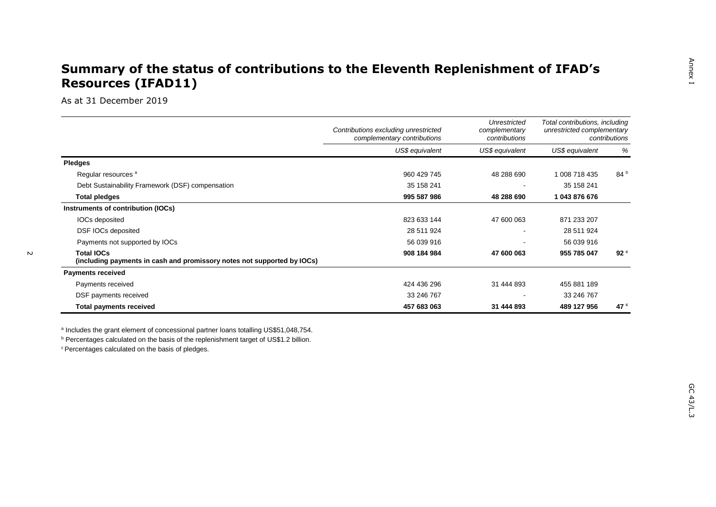### **Summary of the status of contributions to the Eleventh Replenishment of IFAD's Resources (IFAD11)**

As at 31 December 2019

|                                                                                              | Contributions excluding unrestricted<br>complementary contributions | Unrestricted<br>complementary<br>contributions | Total contributions, including<br>unrestricted complementary<br>contributions |                 |
|----------------------------------------------------------------------------------------------|---------------------------------------------------------------------|------------------------------------------------|-------------------------------------------------------------------------------|-----------------|
|                                                                                              | US\$ equivalent                                                     | US\$ equivalent                                | US\$ equivalent                                                               | %               |
| <b>Pledges</b>                                                                               |                                                                     |                                                |                                                                               |                 |
| Regular resources <sup>a</sup>                                                               | 960 429 745                                                         | 48 288 690                                     | 1 008 718 435                                                                 | 84 <sup>b</sup> |
| Debt Sustainability Framework (DSF) compensation                                             | 35 158 241                                                          | . .                                            | 35 158 241                                                                    |                 |
| <b>Total pledges</b>                                                                         | 995 587 986                                                         | 48 288 690                                     | 1 043 876 676                                                                 |                 |
| Instruments of contribution (IOCs)                                                           |                                                                     |                                                |                                                                               |                 |
| IOCs deposited                                                                               | 823 633 144                                                         | 47 600 063                                     | 871 233 207                                                                   |                 |
| DSF IOCs deposited                                                                           | 28 511 924                                                          |                                                | 28 511 924                                                                    |                 |
| Payments not supported by IOCs                                                               | 56 039 916                                                          | $\overline{\phantom{a}}$                       | 56 039 916                                                                    |                 |
| <b>Total IOCs</b><br>(including payments in cash and promissory notes not supported by IOCs) | 908 184 984                                                         | 47 600 063                                     | 955 785 047                                                                   | 92 <sup>c</sup> |
| <b>Payments received</b>                                                                     |                                                                     |                                                |                                                                               |                 |
| Payments received                                                                            | 424 436 296                                                         | 31 444 893                                     | 455 881 189                                                                   |                 |
| DSF payments received                                                                        | 33 246 767                                                          | $\overline{\phantom{a}}$                       | 33 246 767                                                                    |                 |
| <b>Total payments received</b>                                                               | 457 683 063                                                         | 31 444 893                                     | 489 127 956                                                                   | 47 $\degree$    |

a Includes the grant element of concessional partner loans totalling US\$51,048,754.

**b** Percentages calculated on the basis of the replenishment target of US\$1.2 billion.

c Percentages calculated on the basis of pledges.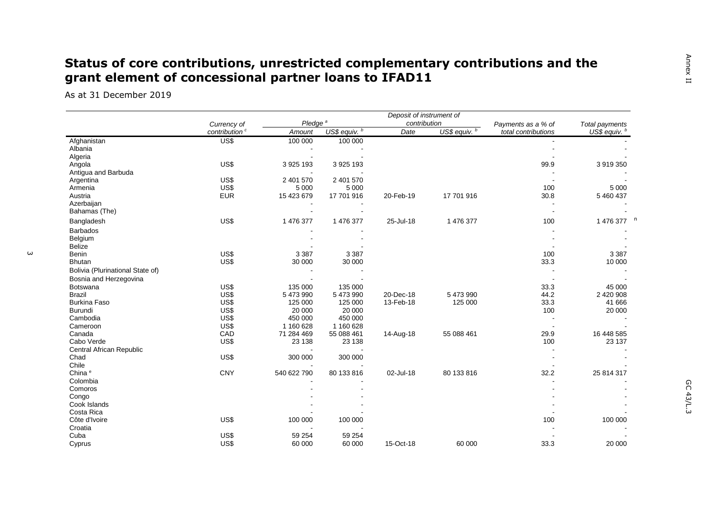## **Status of core contributions, unrestricted complementary contributions and the grant element of concessional partner loans to IFAD11**

As at 31 December 2019

|                                  | Deposit of instrument of<br>Pledge <sup>a</sup><br>contribution |             |               |           |               |                                           |                                 |
|----------------------------------|-----------------------------------------------------------------|-------------|---------------|-----------|---------------|-------------------------------------------|---------------------------------|
|                                  | Currency of<br>contribution <sup>c</sup>                        | Amount      | US\$ equiv. b | Date      | US\$ equiv. b | Payments as a % of<br>total contributions | Total payments<br>US\$ equiv. b |
| Afghanistan                      | US\$                                                            | 100 000     | 100 000       |           |               |                                           |                                 |
| Albania                          |                                                                 |             |               |           |               |                                           |                                 |
| Algeria                          |                                                                 |             |               |           |               |                                           |                                 |
| Angola                           | US\$                                                            | 3 925 193   | 3 925 193     |           |               | 99.9                                      | 3 919 350                       |
| Antigua and Barbuda              |                                                                 |             |               |           |               |                                           |                                 |
| Argentina                        | US\$                                                            | 2 401 570   | 2 401 570     |           |               |                                           |                                 |
| Armenia                          | US\$                                                            | 5 0 0 0     | 5 0 0 0       |           |               | 100                                       | 5 0 0 0                         |
| Austria                          | <b>EUR</b>                                                      | 15 423 679  | 17 701 916    | 20-Feb-19 | 17 701 916    | 30.8                                      | 5 460 437                       |
| Azerbaijan                       |                                                                 |             |               |           |               |                                           |                                 |
| Bahamas (The)                    |                                                                 |             |               |           |               |                                           |                                 |
| Bangladesh                       | US\$                                                            | 1 476 377   | 1 476 377     | 25-Jul-18 | 1 476 377     | 100                                       | 1 476 377                       |
| <b>Barbados</b>                  |                                                                 |             |               |           |               |                                           |                                 |
| Belgium                          |                                                                 |             |               |           |               |                                           |                                 |
| <b>Belize</b>                    |                                                                 |             |               |           |               |                                           |                                 |
| <b>Benin</b>                     | US\$                                                            | 3 3 8 7     | 3 3 8 7       |           |               | 100                                       | 3 3 8 7                         |
| <b>Bhutan</b>                    | US\$                                                            | 30 000      | 30 000        |           |               | 33.3                                      | 10 000                          |
| Bolivia (Plurinational State of) |                                                                 |             |               |           |               |                                           |                                 |
| Bosnia and Herzegovina           |                                                                 |             |               |           |               |                                           |                                 |
| Botswana                         | US\$                                                            | 135 000     | 135 000       |           |               | 33.3                                      | 45 000                          |
| <b>Brazil</b>                    | US\$                                                            | 5 473 990   | 5 473 990     | 20-Dec-18 | 5 473 990     | 44.2                                      | 2 420 908                       |
| <b>Burkina Faso</b>              | US\$                                                            | 125 000     | 125 000       | 13-Feb-18 | 125 000       | 33.3                                      | 41 666                          |
| <b>Burundi</b>                   | US\$                                                            | 20 000      | 20 000        |           |               | 100                                       | 20 000                          |
| Cambodia                         | US\$                                                            | 450 000     | 450 000       |           |               |                                           |                                 |
| Cameroon                         | US\$                                                            | 1 160 628   | 1 160 628     |           |               |                                           |                                 |
| Canada                           | CAD                                                             | 71 284 469  | 55 088 461    | 14-Aug-18 | 55 088 461    | 29.9                                      | 16 448 585                      |
| Cabo Verde                       | US\$                                                            | 23 138      | 23 138        |           |               | 100                                       | 23 137                          |
| Central African Republic         |                                                                 |             |               |           |               |                                           |                                 |
| Chad                             | US\$                                                            | 300 000     | 300 000       |           |               |                                           |                                 |
| Chile                            |                                                                 |             |               |           |               |                                           |                                 |
| China <sup>e</sup>               | <b>CNY</b>                                                      | 540 622 790 | 80 133 816    | 02-Jul-18 | 80 133 816    | 32.2                                      | 25 814 317                      |
| Colombia                         |                                                                 |             |               |           |               |                                           |                                 |
| Comoros                          |                                                                 |             |               |           |               |                                           |                                 |
| Congo                            |                                                                 |             |               |           |               |                                           |                                 |
| Cook Islands                     |                                                                 |             |               |           |               |                                           |                                 |
| Costa Rica                       |                                                                 |             |               |           |               |                                           |                                 |
| Côte d'Ivoire                    | US\$                                                            | 100 000     | 100 000       |           |               | 100                                       | 100 000                         |
| Croatia                          |                                                                 |             |               |           |               |                                           |                                 |
| Cuba                             |                                                                 | 59 254      | 59 254        |           |               |                                           |                                 |
|                                  | US\$                                                            |             |               |           |               |                                           |                                 |
| Cyprus                           | US\$                                                            | 60 000      | 60 000        | 15-Oct-18 | 60 000        | 33.3                                      | 20 000                          |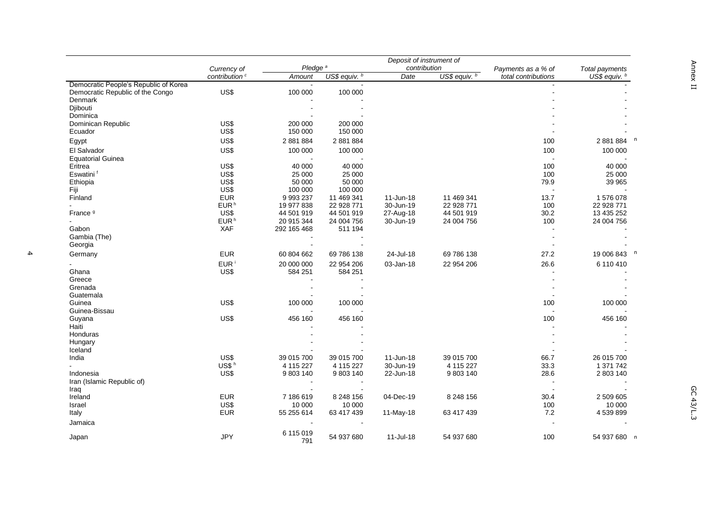|                                                                           | Deposit of instrument of  |                     |               |              |                           |                     |                 |
|---------------------------------------------------------------------------|---------------------------|---------------------|---------------|--------------|---------------------------|---------------------|-----------------|
|                                                                           | Currency of               | Pledge <sup>a</sup> |               | contribution |                           | Payments as a % of  | Total payments  |
|                                                                           | contribution <sup>c</sup> | Amount              | US\$ equiv. b | Date         | US\$ equiv. $\frac{b}{b}$ | total contributions | US\$ equiv. $b$ |
| Democratic People's Republic of Korea<br>Democratic Republic of the Congo | US\$                      | 100 000             | 100 000       |              |                           |                     |                 |
| Denmark                                                                   |                           |                     |               |              |                           |                     |                 |
| Djibouti                                                                  |                           |                     |               |              |                           |                     |                 |
| Dominica                                                                  |                           |                     |               |              |                           |                     |                 |
| Dominican Republic                                                        | US\$                      | 200 000             | 200 000       |              |                           |                     |                 |
| Ecuador                                                                   | US\$                      | 150 000             | 150 000       |              |                           |                     |                 |
|                                                                           |                           |                     |               |              |                           |                     |                 |
| Egypt                                                                     | US\$                      | 2 881 884           | 2 881 884     |              |                           | 100                 | 2 881 884       |
| El Salvador                                                               | US\$                      | 100 000             | 100 000       |              |                           | 100                 | 100 000         |
| <b>Equatorial Guinea</b>                                                  |                           |                     |               |              |                           |                     |                 |
| Eritrea                                                                   | US\$                      | 40 000              | 40 000        |              |                           | 100                 | 40 000          |
| Eswatini <sup>f</sup>                                                     | US\$                      | 25 000              | 25 000        |              |                           | 100                 | 25 000          |
| Ethiopia                                                                  | US\$                      | 50 000              | 50 000        |              |                           | 79.9                | 39 965          |
| Fiji                                                                      | US\$                      | 100 000             | 100 000       |              |                           |                     |                 |
| Finland                                                                   | <b>EUR</b>                | 9 9 9 2 3 7         | 11 469 341    | 11-Jun-18    | 11 469 341                | 13.7                | 1576078         |
|                                                                           | EUR <sup>h</sup>          | 19 977 838          | 22 928 771    | 30-Jun-19    | 22 928 771                | 100                 | 22 928 771      |
| France <sup>9</sup>                                                       | US\$                      | 44 501 919          | 44 501 919    | 27-Aug-18    | 44 501 919                | 30.2                | 13 435 252      |
|                                                                           | EUR <sup>h</sup>          | 20 915 344          | 24 004 756    | 30-Jun-19    | 24 004 756                | 100                 | 24 004 756      |
| Gabon                                                                     | XAF                       | 292 165 468         | 511 194       |              |                           |                     |                 |
| Gambia (The)                                                              |                           |                     |               |              |                           |                     |                 |
| Georgia                                                                   |                           |                     |               |              |                           |                     |                 |
| Germany                                                                   | <b>EUR</b>                | 60 804 662          | 69 786 138    | 24-Jul-18    | 69 786 138                | 27.2                | 19 006 843      |
|                                                                           | EUR <sup>i</sup>          | 20 000 000          | 22 954 206    | 03-Jan-18    | 22 954 206                | 26.6                | 6 110 410       |
| Ghana                                                                     | US\$                      | 584 251             | 584 251       |              |                           |                     |                 |
| Greece                                                                    |                           |                     |               |              |                           |                     |                 |
| Grenada                                                                   |                           |                     |               |              |                           |                     |                 |
| Guatemala                                                                 |                           |                     |               |              |                           |                     |                 |
| Guinea                                                                    | US\$                      | 100 000             | 100 000       |              |                           | 100                 | 100 000         |
| Guinea-Bissau                                                             |                           |                     |               |              |                           |                     |                 |
| Guyana                                                                    | US\$                      | 456 160             | 456 160       |              |                           | 100                 | 456 160         |
| Haiti                                                                     |                           |                     |               |              |                           |                     |                 |
| Honduras                                                                  |                           |                     |               |              |                           |                     |                 |
| Hungary                                                                   |                           |                     |               |              |                           |                     |                 |
| Iceland                                                                   |                           |                     |               |              |                           |                     |                 |
| India                                                                     | US\$                      | 39 015 700          | 39 015 700    | 11-Jun-18    | 39 015 700                | 66.7                | 26 015 700      |
|                                                                           | $US$^h$                   | 4 115 227           | 4 115 227     | 30-Jun-19    | 4 115 227                 | 33.3                | 1 371 742       |
| Indonesia                                                                 | US\$                      | 9 803 140           | 9 803 140     | 22-Jun-18    | 9 803 140                 | 28.6                | 2 803 140       |
| Iran (Islamic Republic of)                                                |                           |                     |               |              |                           |                     |                 |
| Iraq                                                                      |                           |                     |               |              |                           |                     |                 |
| Ireland                                                                   | <b>EUR</b>                | 7 186 619           | 8 248 156     | 04-Dec-19    | 8 248 156                 | 30.4                | 2 509 605       |
| Israel                                                                    | US\$                      | 10 000              | 10 000        |              |                           | 100                 | 10 000          |
| Italy                                                                     | <b>EUR</b>                | 55 255 614          | 63 417 439    | 11-May-18    | 63 417 439                | 7.2                 | 4539899         |
| Jamaica                                                                   |                           |                     |               |              |                           |                     |                 |
|                                                                           |                           |                     |               |              |                           |                     |                 |
| Japan                                                                     | <b>JPY</b>                | 6 115 019<br>791    | 54 937 680    | 11-Jul-18    | 54 937 680                | 100                 | 54 937 680 n    |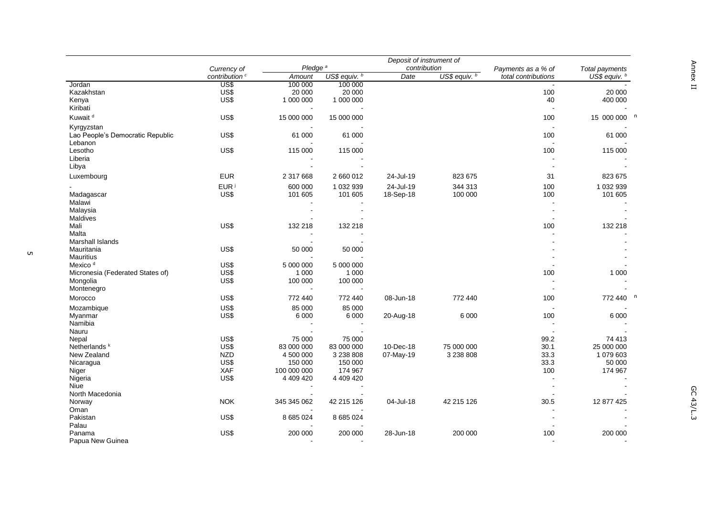|                                                | Currency of               | Pledge <sup>a</sup>      |               | Deposit of instrument of<br>contribution |               | Payments as a % of   | Total payments |
|------------------------------------------------|---------------------------|--------------------------|---------------|------------------------------------------|---------------|----------------------|----------------|
|                                                | contribution <sup>c</sup> | Amount                   | US\$ equiv. b | Date                                     | US\$ equiv. b | total contributions  | US\$ equiv. b  |
| Jordan                                         | US\$                      | 100 000                  | 100 000       |                                          |               |                      |                |
| Kazakhstan                                     | US\$                      | 20 000                   | 20 000        |                                          |               | 100                  | 20 000         |
| Kenya<br>Kiribati                              | US\$                      | 1 000 000                | 1 000 000     |                                          |               | 40<br>$\overline{a}$ | 400 000        |
| Kuwait <sup>d</sup>                            | US\$                      | 15 000 000               | 15 000 000    |                                          |               | 100                  | 15 000 000 n   |
| Kyrgyzstan<br>Lao People's Democratic Republic | US\$                      | 61 000                   | 61 000        |                                          |               | 100                  | 61 000         |
| Lebanon<br>Lesotho                             | US\$                      | 115 000                  |               |                                          |               | 100                  | 115 000        |
| Liberia                                        |                           |                          | 115 000       |                                          |               |                      |                |
| Libya                                          |                           |                          |               |                                          |               |                      |                |
| Luxembourg                                     | <b>EUR</b>                | 2 317 668                | 2 660 012     | 24-Jul-19                                | 823 675       | 31                   | 823 675        |
|                                                | EUR <sup>j</sup>          | 600 000                  | 1 032 939     | 24-Jul-19                                | 344 313       | 100                  | 1 032 939      |
| Madagascar<br>Malawi                           | US\$                      | 101 605                  | 101 605       | 18-Sep-18                                | 100 000       | 100                  | 101 605        |
| Malaysia                                       |                           | $\sim$                   |               |                                          |               |                      |                |
| Maldives                                       |                           |                          |               |                                          |               |                      |                |
| Mali                                           | US\$                      | 132 218                  | 132 218       |                                          |               | 100                  | 132 218        |
| Malta                                          |                           |                          |               |                                          |               |                      |                |
| Marshall Islands                               |                           |                          |               |                                          |               |                      |                |
| Mauritania                                     | US\$                      | 50 000                   | 50 000        |                                          |               |                      |                |
| <b>Mauritius</b>                               |                           |                          |               |                                          |               |                      |                |
| Mexico <sup>d</sup>                            | US\$                      | 5 000 000                | 5 000 000     |                                          |               |                      |                |
| Micronesia (Federated States of)               | US\$                      | 1 0 0 0                  | 1 0 0 0       |                                          |               | 100                  | 1 0 0 0        |
| Mongolia<br>Montenegro                         | US\$                      | 100 000                  | 100 000       |                                          |               |                      |                |
|                                                |                           |                          |               |                                          |               |                      |                |
| Morocco                                        | US\$                      | 772 440                  | 772 440       | 08-Jun-18                                | 772 440       | 100                  | 772 440 n      |
| Mozambique                                     | US\$                      | 85 000                   | 85 000        |                                          |               |                      |                |
| Myanmar                                        | US\$                      | 6 0 0 0                  | 6 0 0 0       | 20-Aug-18                                | 6 0 0 0       | 100                  | 6 0 0 0        |
| Namibia                                        |                           |                          |               |                                          |               |                      |                |
| Nauru                                          | US\$                      | 75 000                   | 75 000        |                                          |               | 99.2                 | 74 413         |
| Nepal<br>Netherlands <sup>k</sup>              | US\$                      | 83 000 000               | 83 000 000    | 10-Dec-18                                | 75 000 000    | 30.1                 | 25 000 000     |
| New Zealand                                    | <b>NZD</b>                | 4 500 000                | 3 2 3 8 8 0 8 | 07-May-19                                | 3 238 808     | 33.3                 | 1 079 603      |
|                                                | US\$                      | 150 000                  | 150 000       |                                          |               | 33.3                 | 50 000         |
| Nicaragua<br>Niger                             | XAF                       | 100 000 000              | 174 967       |                                          |               | 100                  | 174 967        |
| Nigeria                                        | US\$                      | 4 409 420                | 4 409 420     |                                          |               |                      |                |
| <b>Niue</b>                                    |                           | $\overline{\phantom{a}}$ |               |                                          |               | $\sim$               |                |
| North Macedonia                                |                           |                          |               |                                          |               |                      |                |
| Norway                                         | <b>NOK</b>                | 345 345 062              | 42 215 126    | 04-Jul-18                                | 42 215 126    | 30.5                 | 12 877 425     |
| Oman                                           |                           |                          |               |                                          |               |                      |                |
| Pakistan                                       | US\$                      | 8 685 024                | 8 685 024     |                                          |               |                      |                |
| Palau                                          |                           |                          |               |                                          |               |                      |                |
| Panama                                         | US\$                      | 200 000                  | 200 000       | 28-Jun-18                                | 200 000       | 100                  | 200 000        |
| Papua New Guinea                               |                           |                          |               |                                          |               |                      |                |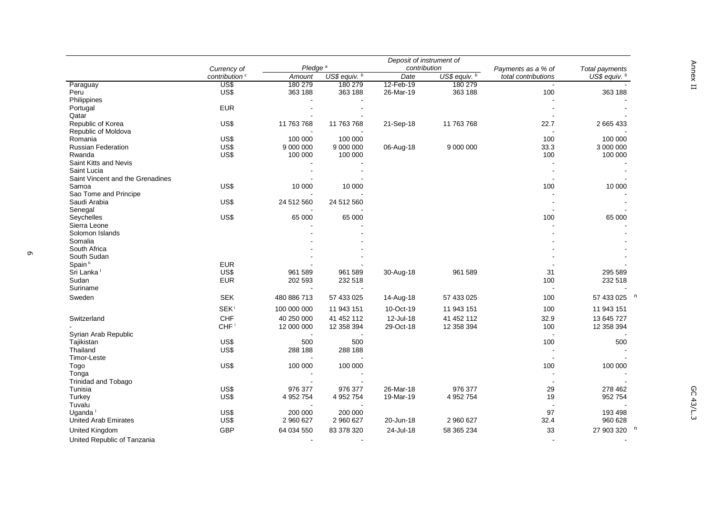|                                  |                                          | Pledge <sup>a</sup> |               | Deposit of instrument of<br>contribution |                           |                                           |                                   |
|----------------------------------|------------------------------------------|---------------------|---------------|------------------------------------------|---------------------------|-------------------------------------------|-----------------------------------|
|                                  | Currency of<br>contribution <sup>c</sup> | Amount              | US\$ equiv. b | Date                                     | US\$ equiv. $\frac{b}{b}$ | Payments as a % of<br>total contributions | Total payments<br>US\$ equiv. $b$ |
| Paraguay                         | US\$                                     | 180 279             | 180 279       | 12-Feb-19                                | 180 279                   |                                           |                                   |
| Peru                             | US\$                                     | 363 188             | 363 188       | 26-Mar-19                                | 363 188                   | 100                                       | 363 188                           |
| <b>Philippines</b>               |                                          |                     |               |                                          |                           |                                           |                                   |
| Portugal                         | <b>EUR</b>                               |                     |               |                                          |                           |                                           |                                   |
| Qatar                            |                                          |                     |               |                                          |                           |                                           |                                   |
| Republic of Korea                | US\$                                     | 11 763 768          | 11 763 768    | 21-Sep-18                                | 11 763 768                | 22.7                                      | 2 665 433                         |
| Republic of Moldova              |                                          |                     |               |                                          |                           |                                           |                                   |
| Romania                          | US\$                                     | 100 000             | 100 000       |                                          |                           | 100                                       | 100 000                           |
| <b>Russian Federation</b>        | US\$                                     | 9 000 000           | 9 000 000     | 06-Aug-18                                | 9 000 000                 | 33.3                                      | 3 000 000                         |
| Rwanda                           | US\$                                     | 100 000             | 100 000       |                                          |                           | 100                                       | 100 000                           |
|                                  |                                          |                     |               |                                          |                           | $\overline{a}$                            |                                   |
| Saint Kitts and Nevis            |                                          |                     |               |                                          |                           |                                           |                                   |
| Saint Lucia                      |                                          |                     |               |                                          |                           |                                           |                                   |
| Saint Vincent and the Grenadines |                                          |                     |               |                                          |                           | $\sim$                                    |                                   |
| Samoa                            | US\$                                     | 10 000              | 10 000        |                                          |                           | 100                                       | 10 000                            |
| Sao Tome and Principe            |                                          |                     |               |                                          |                           |                                           |                                   |
| Saudi Arabia                     | US\$                                     | 24 512 560          | 24 512 560    |                                          |                           |                                           |                                   |
| Senegal                          |                                          |                     |               |                                          |                           |                                           |                                   |
| Seychelles                       | US\$                                     | 65 000              | 65 000        |                                          |                           | 100                                       | 65 000                            |
| Sierra Leone                     |                                          |                     |               |                                          |                           |                                           |                                   |
| Solomon Islands                  |                                          |                     |               |                                          |                           |                                           |                                   |
| Somalia                          |                                          |                     |               |                                          |                           |                                           |                                   |
| South Africa                     |                                          |                     |               |                                          |                           |                                           |                                   |
| South Sudan                      |                                          |                     |               |                                          |                           |                                           |                                   |
| Spain <sup>°</sup>               | <b>EUR</b>                               |                     |               |                                          |                           |                                           |                                   |
| Sri Lanka <sup>1</sup>           | US\$                                     | 961 589             | 961 589       | 30-Aug-18                                | 961 589                   | 31                                        | 295 589                           |
| Sudan                            | <b>EUR</b>                               | 202 593             | 232 518       |                                          |                           | 100                                       | 232 518                           |
| Suriname                         |                                          |                     |               |                                          |                           |                                           |                                   |
| Sweden                           | <b>SEK</b>                               | 480 886 713         | 57 433 025    | 14-Aug-18                                | 57 433 025                | 100                                       | 57 433 025 <sup>n</sup>           |
|                                  |                                          |                     |               |                                          |                           |                                           |                                   |
|                                  | <b>SEK</b> <sup>i</sup>                  | 100 000 000         | 11 943 151    | 10-Oct-19                                | 11 943 151                | 100                                       | 11 943 151                        |
| Switzerland                      | CHF                                      | 40 250 000          | 41 452 112    | 12-Jul-18                                | 41 452 112                | 32.9                                      | 13 645 727                        |
|                                  | CHF <sup>i</sup>                         | 12 000 000          | 12 358 394    | 29-Oct-18                                | 12 358 394                | 100                                       | 12 358 394                        |
| Syrian Arab Republic             |                                          |                     |               |                                          |                           | $\overline{a}$                            |                                   |
| Tajikistan                       | US\$                                     | 500                 | 500           |                                          |                           | 100                                       | 500                               |
| Thailand                         | US\$                                     | 288 188             | 288 188       |                                          |                           | $\sim$                                    |                                   |
| Timor-Leste                      |                                          |                     |               |                                          |                           | $\overline{a}$                            |                                   |
| Togo                             | US\$                                     | 100 000             | 100 000       |                                          |                           | 100                                       | 100 000                           |
| Tonga                            |                                          |                     |               |                                          |                           | $\sim$                                    |                                   |
| Trinidad and Tobago              |                                          |                     |               |                                          |                           |                                           |                                   |
| Tunisia                          | US\$                                     | 976 377             | 976 377       | 26-Mar-18                                | 976 377                   | 29                                        | 278 462                           |
| Turkey                           | US\$                                     | 4 952 754           | 4 952 754     | 19-Mar-19                                | 4 952 754                 | 19                                        | 952 754                           |
| Tuvalu                           |                                          |                     |               |                                          |                           |                                           |                                   |
| Uganda <sup>1</sup>              | US\$                                     | 200 000             | 200 000       |                                          |                           | 97                                        | 193 498                           |
|                                  |                                          |                     |               |                                          |                           |                                           |                                   |
| <b>United Arab Emirates</b>      | US\$                                     | 2 960 627           | 2 960 627     | 20-Jun-18                                | 2 960 627                 | 32.4                                      | 960 628                           |
| <b>United Kingdom</b>            | <b>GBP</b>                               | 64 034 550          | 83 378 320    | 24-Jul-18                                | 58 365 234                | 33                                        | 27 903 320                        |
| United Republic of Tanzania      |                                          |                     |               |                                          |                           |                                           |                                   |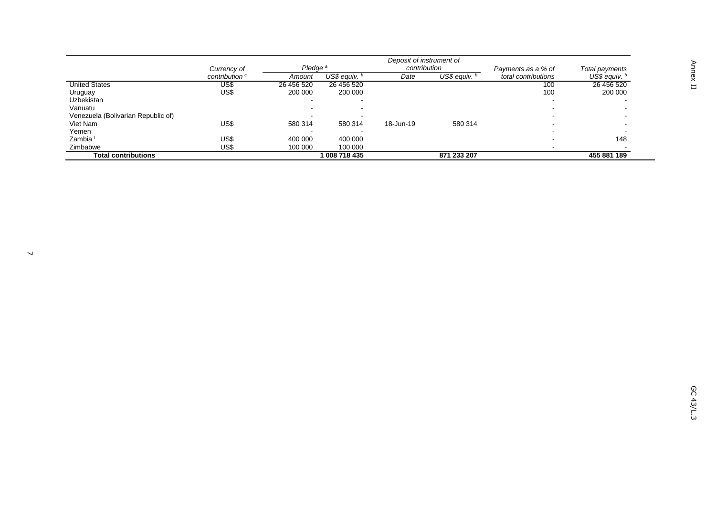|                                    | Deposit of instrument of  |                     |                 |              |               |                     |                 |
|------------------------------------|---------------------------|---------------------|-----------------|--------------|---------------|---------------------|-----------------|
|                                    | Currency of               | Pledae <sup>a</sup> |                 | contribution |               | Payments as a % of  | Total payments  |
|                                    | contribution <sup>c</sup> | Amount              | US\$ equiv. $b$ | Date         | US\$ equiv. b | total contributions | US\$ equiv. $b$ |
| <b>United States</b>               | US\$                      | 26 456 520          | 26 456 520      |              |               | 100                 | 26 456 520      |
| Uruguay                            | US\$                      | 200 000             | 200 000         |              |               | 100                 | 200 000         |
| Uzbekistan                         |                           |                     |                 |              |               |                     |                 |
| Vanuatu                            |                           |                     |                 |              |               |                     |                 |
| Venezuela (Bolivarian Republic of) |                           |                     |                 |              |               |                     |                 |
| Viet Nam                           | US\$                      | 580 314             | 580 314         | 18-Jun-19    | 580 314       |                     |                 |
| Yemen                              |                           |                     |                 |              |               |                     |                 |
| Zambia <sup>1</sup>                | US\$                      | 400 000             | 400 000         |              |               |                     | 148             |
| Zimbabwe                           | US\$                      | 100 000             | 100 000         |              |               |                     |                 |
| Total contributions                |                           |                     | 008 718 435     |              | 871 233 207   |                     | 455 881 189     |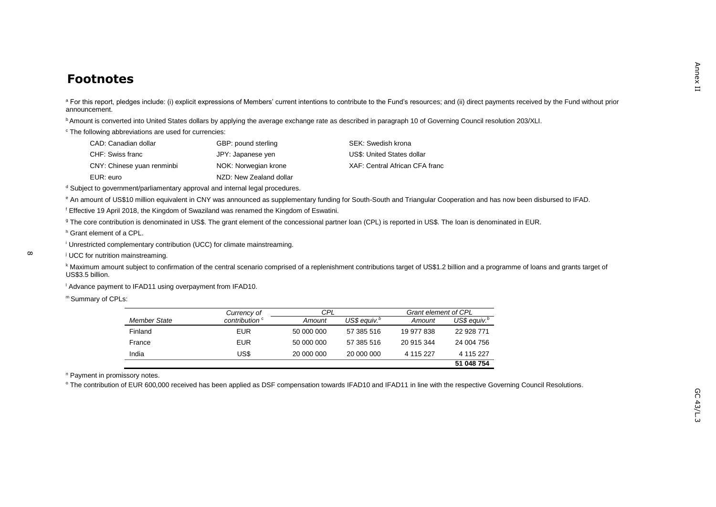### **Footnotes**

<sup>a</sup> For this report, pledges include: (i) explicit expressions of Members' current intentions to contribute to the Fund's resources; and (ii) direct payments received by the Fund without prior announcement.

<sup>b</sup> Amount is converted into United States dollars by applying the average exchange rate as described in paragraph 10 of Governing Council resolution 203/XLI.

<sup>c</sup> The following abbreviations are used for currencies:

| CAD: Canadian dollar       | GBP: pound sterling     | SEK: Swedish krona             |
|----------------------------|-------------------------|--------------------------------|
| CHF: Swiss franc           | JPY: Japanese yen       | US\$: United States dollar     |
| CNY: Chinese yuan renminbi | NOK: Norwegian krone    | XAF: Central African CFA franc |
| FUR: euro                  | NZD: New Zealand dollar |                                |

d Subject to government/parliamentary approval and internal legal procedures.

e An amount of US\$10 million equivalent in CNY was announced as supplementary funding for South-South and Triangular Cooperation and has now been disbursed to IFAD.

<sup>f</sup> Effective 19 April 2018, the Kingdom of Swaziland was renamed the Kingdom of Eswatini.

<sup>g</sup> The core contribution is denominated in US\$. The grant element of the concessional partner loan (CPL) is reported in US\$. The loan is denominated in EUR.

<sup>h</sup> Grant element of a CPL.

<sup>i</sup> Unrestricted complementary contribution (UCC) for climate mainstreaming.

<sup>j</sup> UCC for nutrition mainstreaming.

k Maximum amount subject to confirmation of the central scenario comprised of a replenishment contributions target of US\$1.2 billion and a programme of loans and grants target of US\$3.5 billion.

<sup>1</sup> Advance payment to IFAD11 using overpayment from IFAD10.

m Summary of CPLs:

|              | Currency of               | CPL        |                          | <b>Grant element of CPL</b> |                 |
|--------------|---------------------------|------------|--------------------------|-----------------------------|-----------------|
| Member State | contribution <sup>c</sup> | Amount     | US\$ eauiv. <sup>b</sup> | Amount                      | US\$ equiv. $b$ |
| Finland      | EUR                       | 50 000 000 | 57 385 516               | 19 977 838                  | 22 928 771      |
| France       | EUR                       | 50 000 000 | 57 385 516               | 20 915 344                  | 24 004 756      |
| India        | US\$                      | 20 000 000 | 20 000 000               | 4 115 227                   | 4 115 227       |
|              |                           |            |                          |                             | 51 048 754      |

<sup>n</sup> Payment in promissory notes.

<sup>o</sup> The contribution of EUR 600,000 received has been applied as DSF compensation towards IFAD10 and IFAD11 in line with the respective Governing Council Resolutions.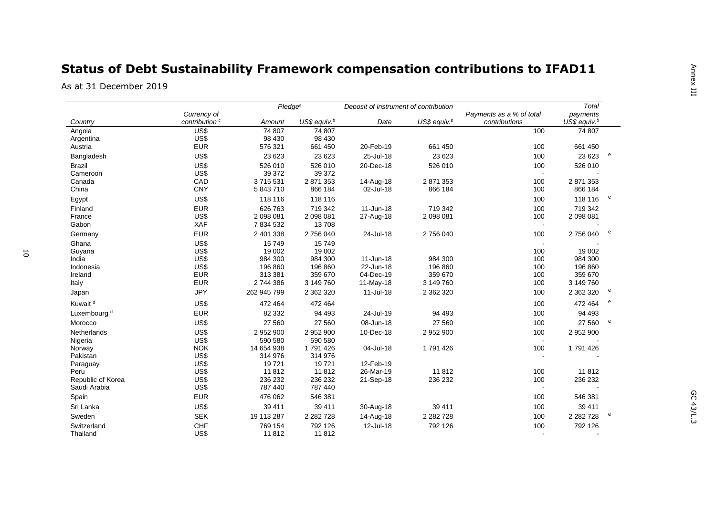# **Status of Debt Sustainability Framework compensation contributions to IFAD11**

As at 31 December 2019

|                         |                           |                  | Pledge <sup>a</sup><br>Deposit of instrument of contribution |           |                 |                          | Total                    |   |
|-------------------------|---------------------------|------------------|--------------------------------------------------------------|-----------|-----------------|--------------------------|--------------------------|---|
|                         | Currency of               |                  |                                                              |           |                 | Payments as a % of total | payments                 |   |
| Country                 | contribution <sup>c</sup> | Amount           | US\$ equiv. $b$                                              | Date      | US\$ equiv. $b$ | contributions            | US\$ equiv. <sup>b</sup> |   |
| Angola                  | US\$                      | 74 807           | 74 807                                                       |           |                 | 100                      | 74 807                   |   |
| Argentina               | US\$                      | 98 430           | 98 430                                                       |           |                 |                          |                          |   |
| Austria                 | <b>EUR</b>                | 576 321          | 661 450                                                      | 20-Feb-19 | 661 450         | 100                      | 661 450                  |   |
| Bangladesh              | US\$                      | 23 623           | 23 623                                                       | 25-Jul-18 | 23 623          | 100                      | 23 623                   | e |
| <b>Brazil</b>           | US\$                      | 526 010          | 526 010                                                      | 20-Dec-18 | 526 010         | 100                      | 526 010                  |   |
| Cameroon                | US\$                      | 39 37 2          | 39 372                                                       |           |                 | $\sim$                   |                          |   |
| Canada                  | CAD                       | 3715531          | 2 871 353                                                    | 14-Aug-18 | 2 871 353       | 100                      | 2 871 353                |   |
| China                   | <b>CNY</b>                | 5 843 710        | 866 184                                                      | 02-Jul-18 | 866 184         | 100                      | 866 184                  |   |
| Egypt                   | US\$                      | 118 116          | 118 116                                                      |           |                 | 100                      | 118 116                  | e |
| Finland                 | <b>EUR</b>                | 626 763          | 719 342                                                      | 11-Jun-18 | 719 342         | 100                      | 719 342                  |   |
| France                  | US\$                      | 2 098 081        | 2 098 081                                                    | 27-Aug-18 | 2 098 081       | 100                      | 2 098 081                |   |
| Gabon                   | XAF                       | 7 834 532        | 13708                                                        |           |                 | $\blacksquare$           |                          |   |
| Germany                 | <b>EUR</b>                | 2 401 338        | 2756040                                                      | 24-Jul-18 | 2756040         | 100                      | 2756040                  | e |
| Ghana                   | US\$                      | 15749            | 15749                                                        |           |                 |                          |                          |   |
| Guyana                  | US\$                      | 19 002           | 19 002                                                       |           |                 | 100                      | 19 002                   |   |
| India                   | US\$                      | 984 300          | 984 300                                                      | 11-Jun-18 | 984 300         | 100                      | 984 300                  |   |
| Indonesia               | US\$                      | 196 860          | 196 860                                                      | 22-Jun-18 | 196 860         | 100                      | 196 860                  |   |
| Ireland                 | <b>EUR</b>                | 313 381          | 359 670                                                      | 04-Dec-19 | 359 670         | 100                      | 359 670                  |   |
| Italy                   | <b>EUR</b>                | 2 744 386        | 3 149 760                                                    | 11-May-18 | 3 149 760       | 100                      | 3 149 760                |   |
| Japan                   | <b>JPY</b>                | 262 945 799      | 2 362 320                                                    | 11-Jul-18 | 2 362 320       | 100                      | 2 362 320                | e |
| Kuwait <sup>d</sup>     | US\$                      | 472 464          | 472 464                                                      |           |                 | 100                      | 472 464                  | e |
| Luxembourg <sup>d</sup> | <b>EUR</b>                | 82 332           | 94 493                                                       | 24-Jul-19 | 94 493          | 100                      | 94 493                   |   |
| Morocco                 | US\$                      | 27 560           | 27 560                                                       | 08-Jun-18 | 27 560          | 100                      | 27 560                   | e |
| <b>Netherlands</b>      | US\$                      | 2 952 900        | 2 952 900                                                    | 10-Dec-18 | 2 952 900       | 100                      | 2 952 900                |   |
| Nigeria                 | US\$                      | 590 580          | 590 580                                                      |           |                 |                          |                          |   |
| Norway                  | <b>NOK</b>                | 14 654 938       | 1791426                                                      | 04-Jul-18 | 1791426         | 100                      | 1791426                  |   |
| Pakistan                | US\$                      | 314 976          | 314 976                                                      |           |                 |                          |                          |   |
| Paraguay                | US\$                      | 19721            | 19721                                                        | 12-Feb-19 |                 |                          |                          |   |
| Peru                    | US\$                      | 11812            | 11812                                                        | 26-Mar-19 | 11812           | 100                      | 11812                    |   |
| Republic of Korea       | US\$                      | 236 232          | 236 232                                                      | 21-Sep-18 | 236 232         | 100                      | 236 232                  |   |
| Saudi Arabia            | US\$                      | 787 440          | 787 440                                                      |           |                 | $\sim$                   |                          |   |
| Spain                   | <b>EUR</b>                | 476 062          | 546 381                                                      |           |                 | 100                      | 546 381                  |   |
| Sri Lanka               | US\$                      | 39 411           | 39 411                                                       | 30-Aug-18 | 39 411          | 100                      | 39 411                   |   |
| Sweden                  | <b>SEK</b>                | 19 113 287       | 2 2 8 2 7 2 8                                                | 14-Aug-18 | 2 2 8 2 7 2 8   | 100                      | 2 2 8 2 7 2 8            | e |
| Switzerland<br>Thailand | <b>CHF</b><br>US\$        | 769 154<br>11812 | 792 126<br>11812                                             | 12-Jul-18 | 792 126         | 100                      | 792 126                  |   |